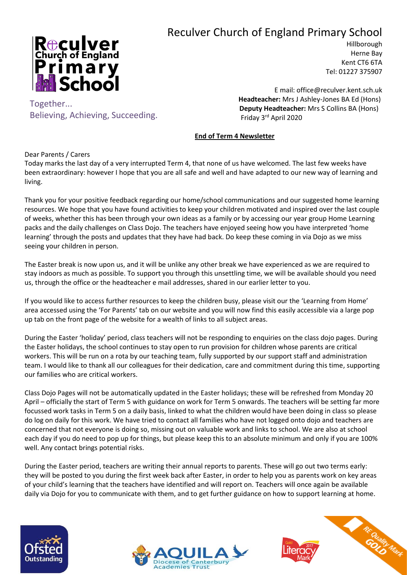## Reculver Church of England Primary School



Believing, Achieving, Succeeding.

Hillborough Herne Bay Kent CT6 6TA Tel: 01227 375907

E mail: office@reculver.kent.sch.uk  **Headteacher:** Mrs J Ashley-Jones BA Ed (Hons)  **Deputy Headteacher:** Mrs S Collins BA (Hons) Friday 3 rd April 2020

## **End of Term 4 Newsletter**

Dear Parents / Carers

Together...

Today marks the last day of a very interrupted Term 4, that none of us have welcomed. The last few weeks have been extraordinary: however I hope that you are all safe and well and have adapted to our new way of learning and living.

Thank you for your positive feedback regarding our home/school communications and our suggested home learning resources. We hope that you have found activities to keep your children motivated and inspired over the last couple of weeks, whether this has been through your own ideas as a family or by accessing our year group Home Learning packs and the daily challenges on Class Dojo. The teachers have enjoyed seeing how you have interpreted 'home learning' through the posts and updates that they have had back. Do keep these coming in via Dojo as we miss seeing your children in person.

The Easter break is now upon us, and it will be unlike any other break we have experienced as we are required to stay indoors as much as possible. To support you through this unsettling time, we will be available should you need us, through the office or the headteacher e mail addresses, shared in our earlier letter to you.

If you would like to access further resources to keep the children busy, please visit our the 'Learning from Home' area accessed using the 'For Parents' tab on our website and you will now find this easily accessible via a large pop up tab on the front page of the website for a wealth of links to all subject areas.

During the Easter 'holiday' period, class teachers will not be responding to enquiries on the class dojo pages. During the Easter holidays, the school continues to stay open to run provision for children whose parents are critical workers. This will be run on a rota by our teaching team, fully supported by our support staff and administration team. I would like to thank all our colleagues for their dedication, care and commitment during this time, supporting our families who are critical workers.

Class Dojo Pages will not be automatically updated in the Easter holidays; these will be refreshed from Monday 20 April – officially the start of Term 5 with guidance on work for Term 5 onwards. The teachers will be setting far more focussed work tasks in Term 5 on a daily basis, linked to what the children would have been doing in class so please do log on daily for this work. We have tried to contact all families who have not logged onto dojo and teachers are concerned that not everyone is doing so, missing out on valuable work and links to school. We are also at school each day if you do need to pop up for things, but please keep this to an absolute minimum and only if you are 100% well. Any contact brings potential risks.

During the Easter period, teachers are writing their annual reports to parents. These will go out two terms early: they will be posted to you during the first week back after Easter, in order to help you as parents work on key areas of your child's learning that the teachers have identified and will report on. Teachers will once again be available daily via Dojo for you to communicate with them, and to get further guidance on how to support learning at home.





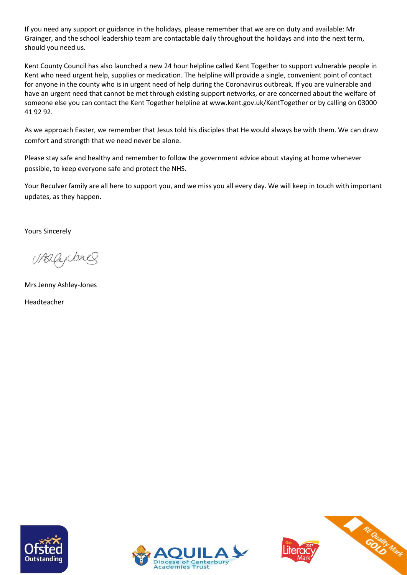If you need any support or guidance in the holidays, please remember that we are on duty and available: Mr Grainger, and the school leadership team are contactable daily throughout the holidays and into the next term, should you need us.

Kent County Council has also launched a new 24 hour helpline called Kent Together to support vulnerable people in Kent who need urgent help, supplies or medication. The helpline will provide a single, convenient point of contact for anyone in the county who is in urgent need of help during the Coronavirus outbreak. If you are vulnerable and have an urgent need that cannot be met through existing support networks, or are concerned about the welfare of someone else you can contact the Kent Together helpline at www.kent.gov.uk/KentTogether or by calling on 03000 41 92 92.

As we approach Easter, we remember that Jesus told his disciples that He would always be with them. We can draw comfort and strength that we need never be alone.

Please stay safe and healthy and remember to follow the government advice about staying at home whenever possible, to keep everyone safe and protect the NHS.

Your Reculver family are all here to support you, and we miss you all every day. We will keep in touch with important updates, as they happen.

Yours Sincerely

(/ABLle

Mrs Jenny Ashley-Jones

Headteacher